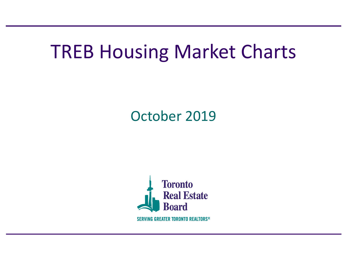# TREB Housing Market Charts

October 2019

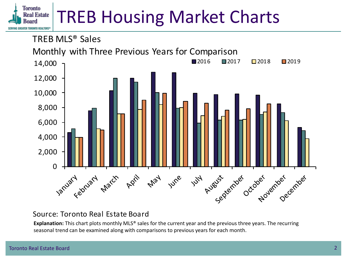#### **Toronto** TREB Housing Market Charts**Real Estate IONTO REALTORS®**

TREB MLS® Sales



# Source: Toronto Real Estate Board

**Explanation:** This chart plots monthly MLS® sales for the current year and the previous three years. The recurring seasonal trend can be examined along with comparisons to previous years for each month.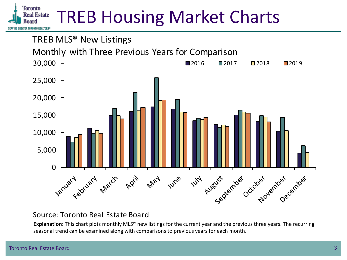#### **Toronto** TREB Housing Market Charts**Real Estate ONTO REALTORS®**



## Source: Toronto Real Estate Board

**Explanation:** This chart plots monthly MLS® new listings for the current year and the previous three years. The recurring seasonal trend can be examined along with comparisons to previous years for each month.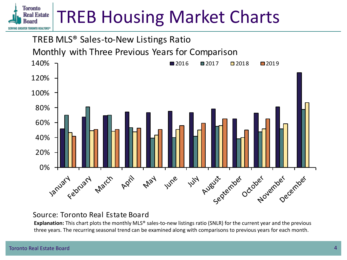#### **Toronto** TREB Housing Market Charts**Real Estate** ONTO REALTORS®



### Source: Toronto Real Estate Board

**Explanation:** This chart plots the monthly MLS® sales-to-new listings ratio (SNLR) for the current year and the previous three years. The recurring seasonal trend can be examined along with comparisons to previous years for each month.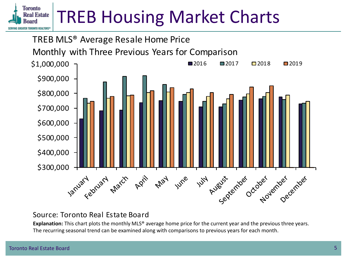#### **Toronto** TREB Housing Market Charts**Real Estate** ONTO REALTORS®



## Source: Toronto Real Estate Board

**Explanation:** This chart plots the monthly MLS® average home price for the current year and the previous three years. The recurring seasonal trend can be examined along with comparisons to previous years for each month.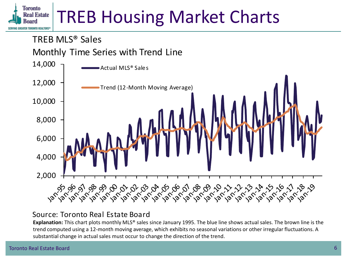TREB MLS® Sales

Monthly Time Series with Trend Line



# Source: Toronto Real Estate Board

**Explanation:** This chart plots monthly MLS® sales since January 1995. The blue line shows actual sales. The brown line is the trend computed using a 12-month moving average, which exhibits no seasonal variations or other irregular fluctuations. A substantial change in actual sales must occur to change the direction of the trend.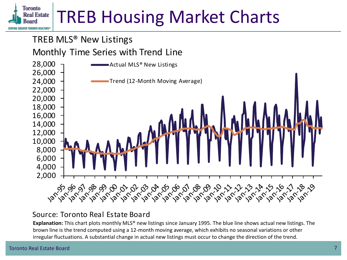# TREB MLS® New Listings

# Monthly Time Series with Trend Line



# Source: Toronto Real Estate Board

**Explanation:** This chart plots monthly MLS® new listings since January 1995. The blue line shows actual new listings. The brown line is the trend computed using a 12-month moving average, which exhibits no seasonal variations or other irregular fluctuations. A substantial change in actual new listings must occur to change the direction of the trend.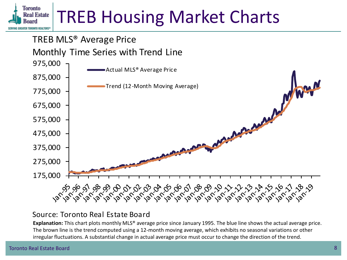# TREB MLS® Average Price

# Monthly Time Series with Trend Line



# Source: Toronto Real Estate Board

**Explanation:** This chart plots monthly MLS® average price since January 1995. The blue line shows the actual average price. The brown line is the trend computed using a 12-month moving average, which exhibits no seasonal variations or other irregular fluctuations. A substantial change in actual average price must occur to change the direction of the trend.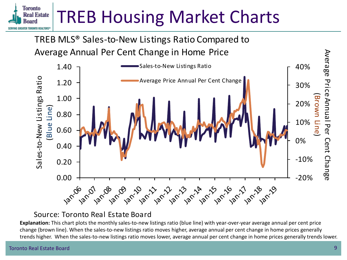TREB MLS® Sales-to-New Listings Ratio Compared to Average Annual Per Cent Change in Home Price



# Source: Toronto Real Estate Board

**Explanation:** This chart plots the monthly sales-to-new listings ratio (blue line) with year-over-year average annual per cent price change (brown line). When the sales-to-new listings ratio moves higher, average annual per cent change in home prices generally trends higher. When the sales-to-new listings ratio moves lower, average annual per cent change in home prices generally trends lower.